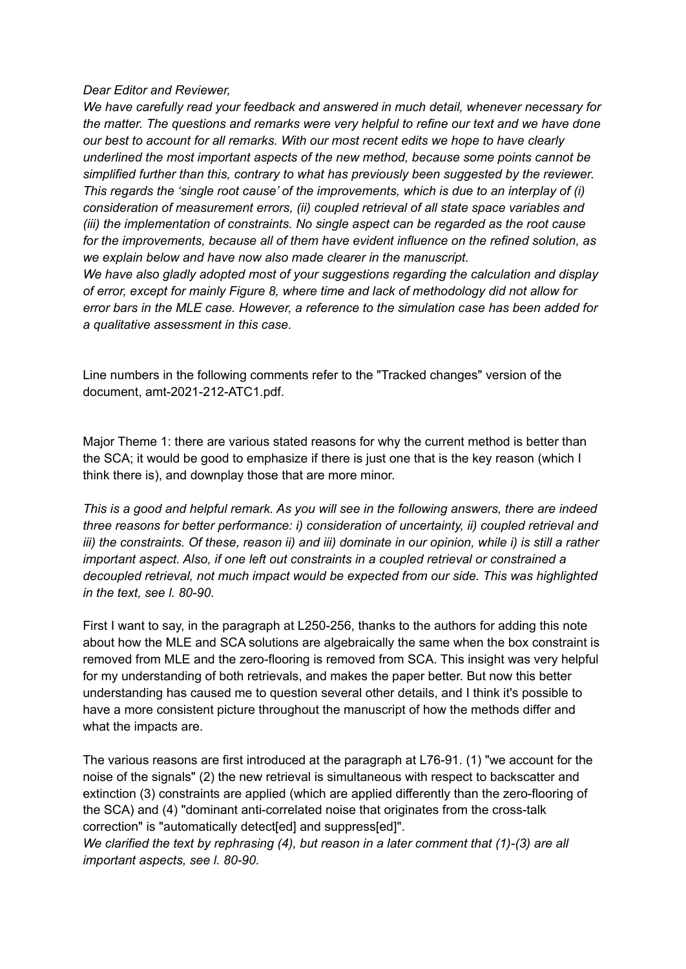*Dear Editor and Reviewer,*

*We have carefully read your feedback and answered in much detail, whenever necessary for the matter. The questions and remarks were very helpful to refine our text and we have done our best to account for all remarks. With our most recent edits we hope to have clearly underlined the most important aspects of the new method, because some points cannot be simplified further than this, contrary to what has previously been suggested by the reviewer. This regards the 'single root cause' of the improvements, which is due to an interplay of (i) consideration of measurement errors, (ii) coupled retrieval of all state space variables and (iii) the implementation of constraints. No single aspect can be regarded as the root cause for the improvements, because all of them have evident influence on the refined solution, as we explain below and have now also made clearer in the manuscript.*

*We have also gladly adopted most of your suggestions regarding the calculation and display of error, except for mainly Figure 8, where time and lack of methodology did not allow for error bars in the MLE case. However, a reference to the simulation case has been added for a qualitative assessment in this case.*

Line numbers in the following comments refer to the "Tracked changes" version of the document, amt-2021-212-ATC1.pdf.

Major Theme 1: there are various stated reasons for why the current method is better than the SCA; it would be good to emphasize if there is just one that is the key reason (which I think there is), and downplay those that are more minor.

*This is a good and helpful remark. As you will see in the following answers, there are indeed three reasons for better performance: i) consideration of uncertainty, ii) coupled retrieval and* iii) the constraints. Of these, reason ii) and iii) dominate in our opinion, while i) is still a rather *important aspect. Also, if one left out constraints in a coupled retrieval or constrained a decoupled retrieval, not much impact would be expected from our side. This was highlighted in the text, see l. 80-90.*

First I want to say, in the paragraph at L250-256, thanks to the authors for adding this note about how the MLE and SCA solutions are algebraically the same when the box constraint is removed from MLE and the zero-flooring is removed from SCA. This insight was very helpful for my understanding of both retrievals, and makes the paper better. But now this better understanding has caused me to question several other details, and I think it's possible to have a more consistent picture throughout the manuscript of how the methods differ and what the impacts are.

The various reasons are first introduced at the paragraph at L76-91. (1) "we account for the noise of the signals" (2) the new retrieval is simultaneous with respect to backscatter and extinction (3) constraints are applied (which are applied differently than the zero-flooring of the SCA) and (4) "dominant anti-correlated noise that originates from the cross-talk correction" is "automatically detect[ed] and suppress[ed]".

*We clarified the text by rephrasing (4), but reason in a later comment that (1)-(3) are all important aspects, see l. 80-90.*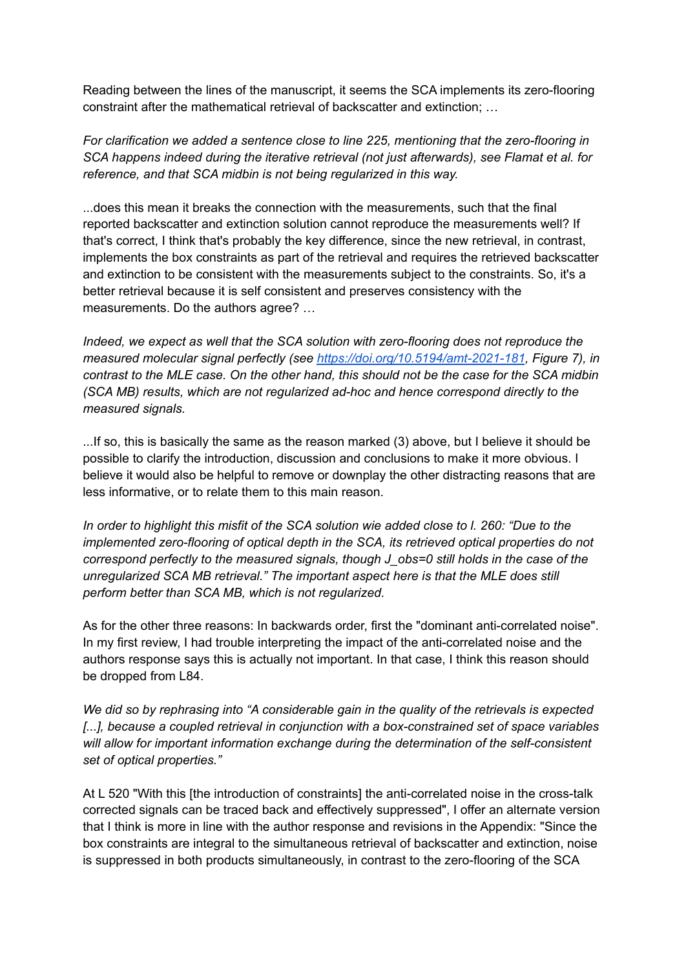Reading between the lines of the manuscript, it seems the SCA implements its zero-flooring constraint after the mathematical retrieval of backscatter and extinction; …

*For clarification we added a sentence close to line 225, mentioning that the zero-flooring in SCA happens indeed during the iterative retrieval (not just afterwards), see Flamat et al. for reference, and that SCA midbin is not being regularized in this way.*

...does this mean it breaks the connection with the measurements, such that the final reported backscatter and extinction solution cannot reproduce the measurements well? If that's correct, I think that's probably the key difference, since the new retrieval, in contrast, implements the box constraints as part of the retrieval and requires the retrieved backscatter and extinction to be consistent with the measurements subject to the constraints. So, it's a better retrieval because it is self consistent and preserves consistency with the measurements. Do the authors agree? …

*Indeed, we expect as well that the SCA solution with zero-flooring does not reproduce the measured molecular signal perfectly (see <https://doi.org/10.5194/amt-2021-181>, Figure 7), in contrast to the MLE case. On the other hand, this should not be the case for the SCA midbin (SCA MB) results, which are not regularized ad-hoc and hence correspond directly to the measured signals.*

...If so, this is basically the same as the reason marked (3) above, but I believe it should be possible to clarify the introduction, discussion and conclusions to make it more obvious. I believe it would also be helpful to remove or downplay the other distracting reasons that are less informative, or to relate them to this main reason.

In order to highlight this misfit of the SCA solution wie added close to I. 260: "Due to the *implemented zero-flooring of optical depth in the SCA, its retrieved optical properties do not correspond perfectly to the measured signals, though J\_obs=0 still holds in the case of the unregularized SCA MB retrieval." The important aspect here is that the MLE does still perform better than SCA MB, which is not regularized.*

As for the other three reasons: In backwards order, first the "dominant anti-correlated noise". In my first review, I had trouble interpreting the impact of the anti-correlated noise and the authors response says this is actually not important. In that case, I think this reason should be dropped from L84.

*We did so by rephrasing into "A considerable gain in the quality of the retrievals is expected [...], because a coupled retrieval in conjunction with a box-constrained set of space variables will allow for important information exchange during the determination of the self-consistent set of optical properties."*

At L 520 "With this [the introduction of constraints] the anti-correlated noise in the cross-talk corrected signals can be traced back and effectively suppressed", I offer an alternate version that I think is more in line with the author response and revisions in the Appendix: "Since the box constraints are integral to the simultaneous retrieval of backscatter and extinction, noise is suppressed in both products simultaneously, in contrast to the zero-flooring of the SCA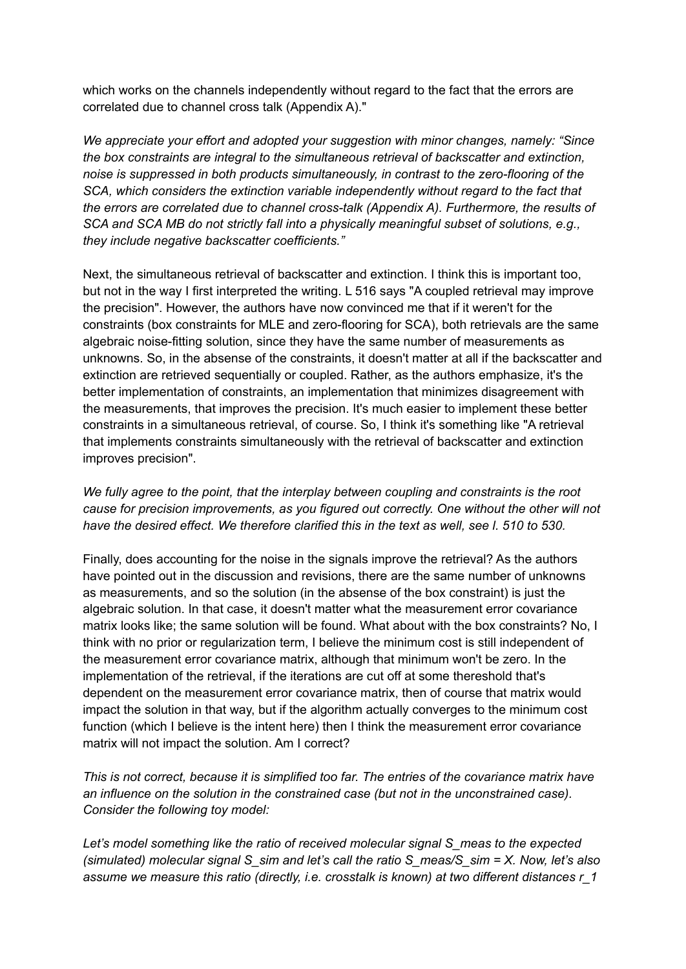which works on the channels independently without regard to the fact that the errors are correlated due to channel cross talk (Appendix A)."

*We appreciate your effort and adopted your suggestion with minor changes, namely: "Since the box constraints are integral to the simultaneous retrieval of backscatter and extinction, noise is suppressed in both products simultaneously, in contrast to the zero-flooring of the SCA, which considers the extinction variable independently without regard to the fact that the errors are correlated due to channel cross-talk (Appendix A). Furthermore, the results of SCA and SCA MB do not strictly fall into a physically meaningful subset of solutions, e.g., they include negative backscatter coefficients."*

Next, the simultaneous retrieval of backscatter and extinction. I think this is important too, but not in the way I first interpreted the writing. L 516 says "A coupled retrieval may improve the precision". However, the authors have now convinced me that if it weren't for the constraints (box constraints for MLE and zero-flooring for SCA), both retrievals are the same algebraic noise-fitting solution, since they have the same number of measurements as unknowns. So, in the absense of the constraints, it doesn't matter at all if the backscatter and extinction are retrieved sequentially or coupled. Rather, as the authors emphasize, it's the better implementation of constraints, an implementation that minimizes disagreement with the measurements, that improves the precision. It's much easier to implement these better constraints in a simultaneous retrieval, of course. So, I think it's something like "A retrieval that implements constraints simultaneously with the retrieval of backscatter and extinction improves precision".

*We fully agree to the point, that the interplay between coupling and constraints is the root cause for precision improvements, as you figured out correctly. One without the other will not have the desired effect. We therefore clarified this in the text as well, see l. 510 to 530.*

Finally, does accounting for the noise in the signals improve the retrieval? As the authors have pointed out in the discussion and revisions, there are the same number of unknowns as measurements, and so the solution (in the absense of the box constraint) is just the algebraic solution. In that case, it doesn't matter what the measurement error covariance matrix looks like; the same solution will be found. What about with the box constraints? No, I think with no prior or regularization term, I believe the minimum cost is still independent of the measurement error covariance matrix, although that minimum won't be zero. In the implementation of the retrieval, if the iterations are cut off at some thereshold that's dependent on the measurement error covariance matrix, then of course that matrix would impact the solution in that way, but if the algorithm actually converges to the minimum cost function (which I believe is the intent here) then I think the measurement error covariance matrix will not impact the solution. Am I correct?

*This is not correct, because it is simplified too far. The entries of the covariance matrix have an influence on the solution in the constrained case (but not in the unconstrained case). Consider the following toy model:*

*Let's model something like the ratio of received molecular signal S\_meas to the expected (simulated) molecular signal S\_sim and let's call the ratio S\_meas/S\_sim = X. Now, let's also assume we measure this ratio (directly, i.e. crosstalk is known) at two different distances r\_1*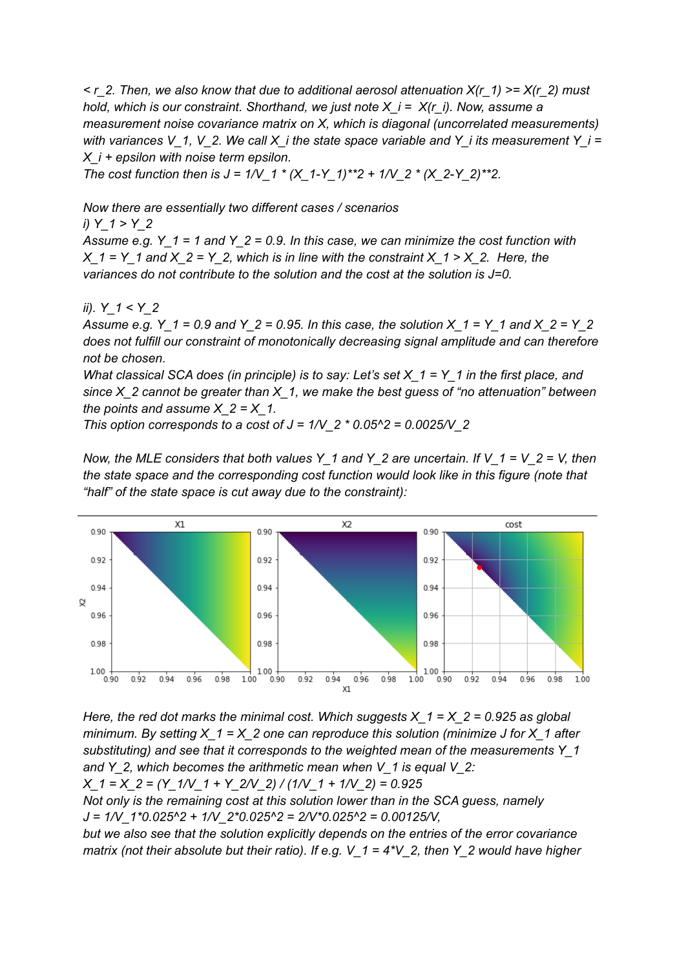*< r\_2. Then, we also know that due to additional aerosol attenuation X(r\_1) >= X(r\_2) must hold, which is our constraint. Shorthand, we just note X\_i = X(r\_i). Now, assume a measurement noise covariance matrix on X, which is diagonal (uncorrelated measurements) with* variances V\_1, V\_2. We call  $X$  *i* the state space variable and Y\_i its measurement Y\_i = *X\_i + epsilon with noise term epsilon.*

*The cost function then is J = 1/V\_1 \* (X\_1-Y\_1)\*\*2 + 1/V\_2 \* (X\_2-Y\_2)\*\*2.*

*Now there are essentially two different cases / scenarios*

*i) Y\_1 > Y\_2 Assume e.g. Y\_1 = 1 and Y\_2 = 0.9. In this case, we can minimize the cost function with X*  $1 = Y_1$  *and*  $X_2 = Y_2$ , *which is in* line *with* the *constraint*  $X_1 > X_2$ . Here, the *variances do not contribute to the solution and the cost at the solution is J=0.*

# *ii). Y\_1 < Y\_2*

Assume e.g. Y  $1 = 0.9$  and Y  $2 = 0.95$ . In this case, the solution X  $1 = Y$  1 and X  $2 = Y$  2 *does not fulfill our constraint of monotonically decreasing signal amplitude and can therefore not be chosen.*

What classical SCA does (in principle) is to say: Let's set  $X_1 = Y_1$  in the first place, and *since X\_2 cannot be greater than X\_1, we make the best guess of "no attenuation" between the points and assume*  $X$   $2 = X$  1.

*This option corresponds to a cost of J = 1/V\_2 \* 0.05^2 = 0.0025/V\_2*

*Now, the MLE considers that both values Y\_1 and Y\_2 are uncertain. If V\_1 = V\_2 = V, then the state space and the corresponding cost function would look like in this figure (note that "half" of the state space is cut away due to the constraint):*



*Here, the red dot marks the minimal cost. Which suggests X\_1 = X\_2 = 0.925 as global minimum. By setting X\_1 = X\_2 one can reproduce this solution (minimize J for X\_1 after substituting) and see that it corresponds to the weighted mean of the measurements Y\_1 and Y\_2, which becomes the arithmetic mean when V\_1 is equal V\_2: X\_1 = X\_2 = (Y\_1/V\_1 + Y\_2/V\_2) / (1/V\_1 + 1/V\_2) = 0.925 Not only is the remaining cost at this solution lower than in the SCA guess, namely J = 1/V\_1\*0.025^2 + 1/V\_2\*0.025^2 = 2/V\*0.025^2 = 0.00125/V,*

*but we also see that the solution explicitly depends on the entries of the error covariance matrix (not their absolute but their ratio). If e.g. V\_1 = 4\*V\_2, then Y\_2 would have higher*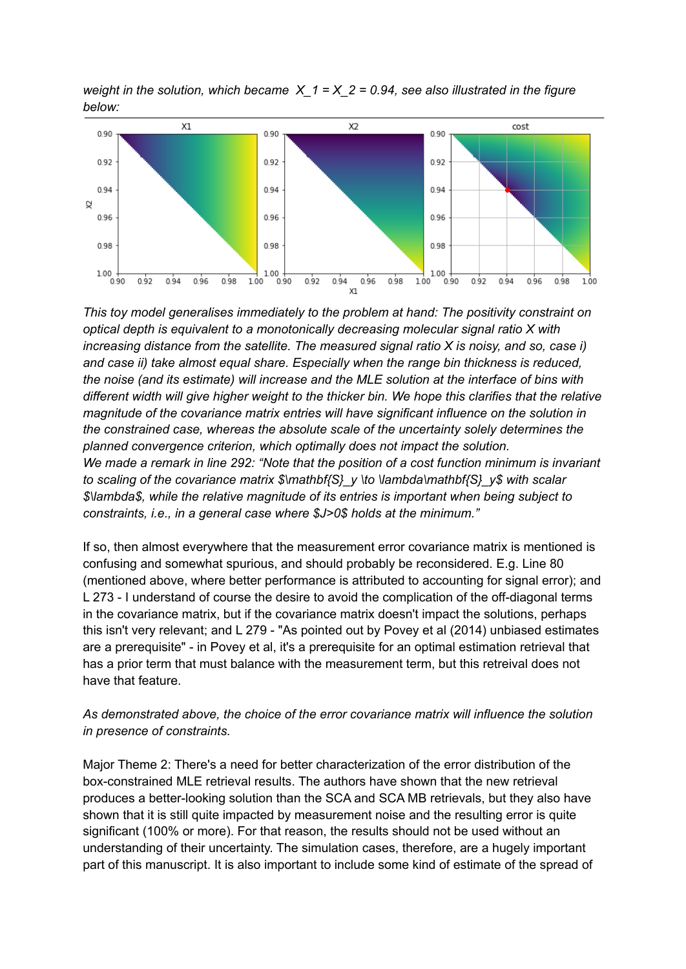*weight* in the solution, which became  $X_1 = X_2 = 0.94$ , see also illustrated in the figure *below:*



*This toy model generalises immediately to the problem at hand: The positivity constraint on optical depth is equivalent to a monotonically decreasing molecular signal ratio X with increasing distance from the satellite. The measured signal ratio X is noisy, and so, case i) and case ii) take almost equal share. Especially when the range bin thickness is reduced, the noise (and its estimate) will increase and the MLE solution at the interface of bins with different width will give higher weight to the thicker bin. We hope this clarifies that the relative magnitude of the covariance matrix entries will have significant influence on the solution in the constrained case, whereas the absolute scale of the uncertainty solely determines the planned convergence criterion, which optimally does not impact the solution. We made a remark in line 292: "Note that the position of a cost function minimum is invariant to scaling of the covariance matrix \$\mathbf{S}\_y \to \lambda\mathbf{S}\_y\$ with scalar \$\lambda\$, while the relative magnitude of its entries is important when being subject to constraints, i.e., in a general case where \$J>0\$ holds at the minimum."*

If so, then almost everywhere that the measurement error covariance matrix is mentioned is confusing and somewhat spurious, and should probably be reconsidered. E.g. Line 80 (mentioned above, where better performance is attributed to accounting for signal error); and L 273 - I understand of course the desire to avoid the complication of the off-diagonal terms in the covariance matrix, but if the covariance matrix doesn't impact the solutions, perhaps this isn't very relevant; and L 279 - "As pointed out by Povey et al (2014) unbiased estimates are a prerequisite" - in Povey et al, it's a prerequisite for an optimal estimation retrieval that has a prior term that must balance with the measurement term, but this retreival does not have that feature.

## *As demonstrated above, the choice of the error covariance matrix will influence the solution in presence of constraints.*

Major Theme 2: There's a need for better characterization of the error distribution of the box-constrained MLE retrieval results. The authors have shown that the new retrieval produces a better-looking solution than the SCA and SCA MB retrievals, but they also have shown that it is still quite impacted by measurement noise and the resulting error is quite significant (100% or more). For that reason, the results should not be used without an understanding of their uncertainty. The simulation cases, therefore, are a hugely important part of this manuscript. It is also important to include some kind of estimate of the spread of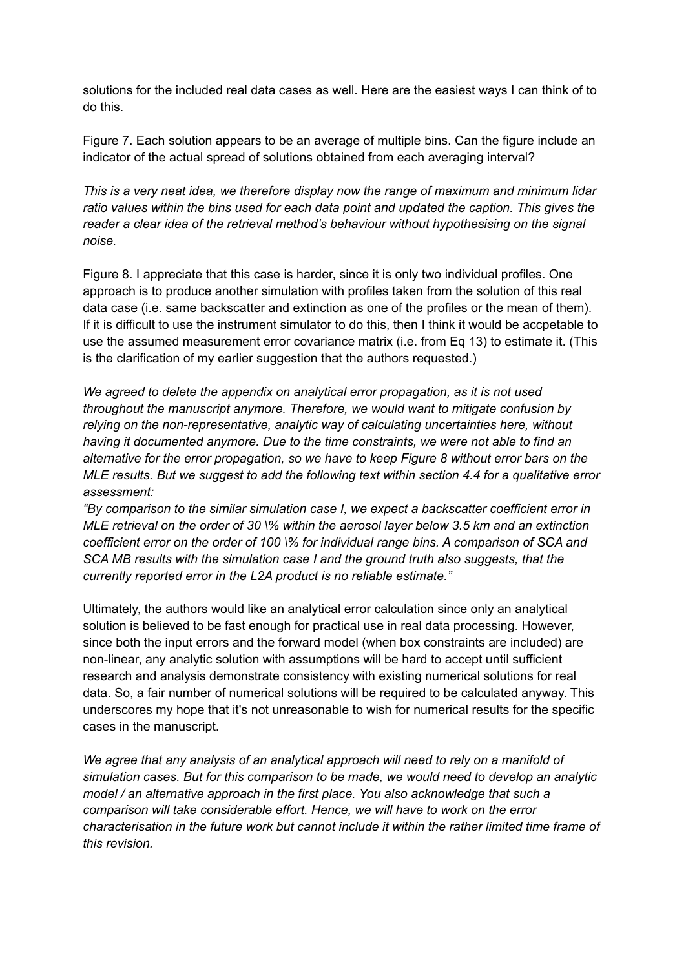solutions for the included real data cases as well. Here are the easiest ways I can think of to do this.

Figure 7. Each solution appears to be an average of multiple bins. Can the figure include an indicator of the actual spread of solutions obtained from each averaging interval?

*This is a very neat idea, we therefore display now the range of maximum and minimum lidar ratio values within the bins used for each data point and updated the caption. This gives the reader a clear idea of the retrieval method's behaviour without hypothesising on the signal noise.*

Figure 8. I appreciate that this case is harder, since it is only two individual profiles. One approach is to produce another simulation with profiles taken from the solution of this real data case (i.e. same backscatter and extinction as one of the profiles or the mean of them). If it is difficult to use the instrument simulator to do this, then I think it would be accpetable to use the assumed measurement error covariance matrix (i.e. from Eq 13) to estimate it. (This is the clarification of my earlier suggestion that the authors requested.)

*We agreed to delete the appendix on analytical error propagation, as it is not used throughout the manuscript anymore. Therefore, we would want to mitigate confusion by relying on the non-representative, analytic way of calculating uncertainties here, without having it documented anymore. Due to the time constraints, we were not able to find an alternative for the error propagation, so we have to keep Figure 8 without error bars on the MLE results. But we suggest to add the following text within section 4.4 for a qualitative error assessment:*

*"By comparison to the similar simulation case I, we expect a backscatter coefficient error in MLE retrieval on the order of 30 \% within the aerosol layer below 3.5 km and an extinction coefficient error on the order of 100 \% for individual range bins. A comparison of SCA and SCA MB results with the simulation case I and the ground truth also suggests, that the currently reported error in the L2A product is no reliable estimate."*

Ultimately, the authors would like an analytical error calculation since only an analytical solution is believed to be fast enough for practical use in real data processing. However, since both the input errors and the forward model (when box constraints are included) are non-linear, any analytic solution with assumptions will be hard to accept until sufficient research and analysis demonstrate consistency with existing numerical solutions for real data. So, a fair number of numerical solutions will be required to be calculated anyway. This underscores my hope that it's not unreasonable to wish for numerical results for the specific cases in the manuscript.

*We agree that any analysis of an analytical approach will need to rely on a manifold of simulation cases. But for this comparison to be made, we would need to develop an analytic model / an alternative approach in the first place. You also acknowledge that such a comparison will take considerable effort. Hence, we will have to work on the error characterisation in the future work but cannot include it within the rather limited time frame of this revision.*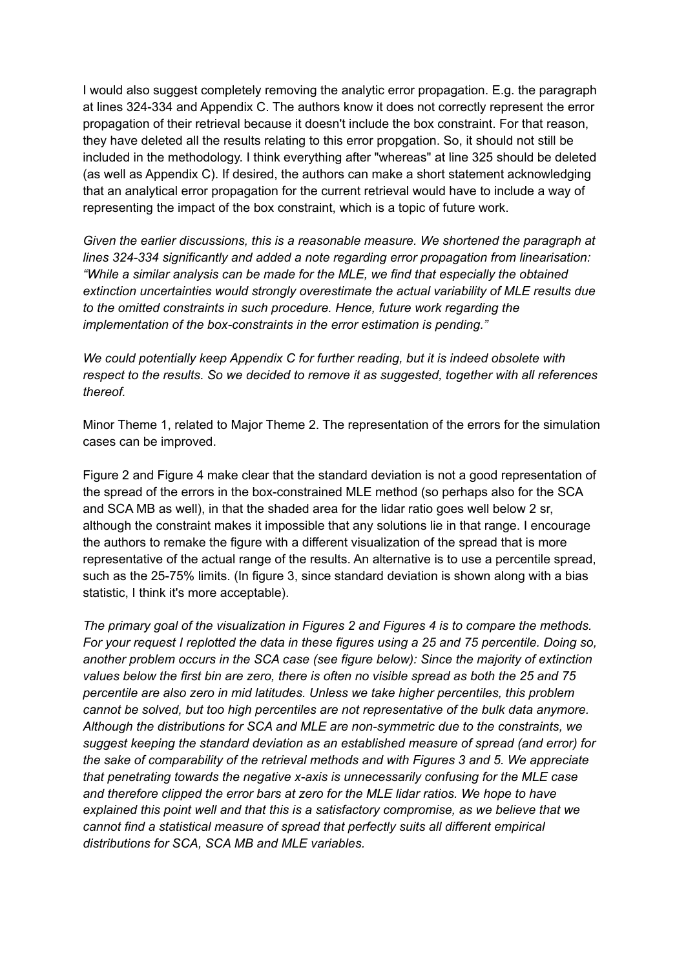I would also suggest completely removing the analytic error propagation. E.g. the paragraph at lines 324-334 and Appendix C. The authors know it does not correctly represent the error propagation of their retrieval because it doesn't include the box constraint. For that reason, they have deleted all the results relating to this error propgation. So, it should not still be included in the methodology. I think everything after "whereas" at line 325 should be deleted (as well as Appendix C). If desired, the authors can make a short statement acknowledging that an analytical error propagation for the current retrieval would have to include a way of representing the impact of the box constraint, which is a topic of future work.

*Given the earlier discussions, this is a reasonable measure. We shortened the paragraph at lines 324-334 significantly and added a note regarding error propagation from linearisation: "While a similar analysis can be made for the MLE, we find that especially the obtained extinction uncertainties would strongly overestimate the actual variability of MLE results due to the omitted constraints in such procedure. Hence, future work regarding the implementation of the box-constraints in the error estimation is pending."*

*We could potentially keep Appendix C for further reading, but it is indeed obsolete with respect to the results. So we decided to remove it as suggested, together with all references thereof.*

Minor Theme 1, related to Major Theme 2. The representation of the errors for the simulation cases can be improved.

Figure 2 and Figure 4 make clear that the standard deviation is not a good representation of the spread of the errors in the box-constrained MLE method (so perhaps also for the SCA and SCA MB as well), in that the shaded area for the lidar ratio goes well below 2 sr, although the constraint makes it impossible that any solutions lie in that range. I encourage the authors to remake the figure with a different visualization of the spread that is more representative of the actual range of the results. An alternative is to use a percentile spread, such as the 25-75% limits. (In figure 3, since standard deviation is shown along with a bias statistic, I think it's more acceptable).

*The primary goal of the visualization in Figures 2 and Figures 4 is to compare the methods. For your request I replotted the data in these figures using a 25 and 75 percentile. Doing so, another problem occurs in the SCA case (see figure below): Since the majority of extinction values below the first bin are zero, there is often no visible spread as both the 25 and 75 percentile are also zero in mid latitudes. Unless we take higher percentiles, this problem cannot be solved, but too high percentiles are not representative of the bulk data anymore. Although the distributions for SCA and MLE are non-symmetric due to the constraints, we suggest keeping the standard deviation as an established measure of spread (and error) for the sake of comparability of the retrieval methods and with Figures 3 and 5. We appreciate that penetrating towards the negative x-axis is unnecessarily confusing for the MLE case and therefore clipped the error bars at zero for the MLE lidar ratios. We hope to have explained this point well and that this is a satisfactory compromise, as we believe that we cannot find a statistical measure of spread that perfectly suits all different empirical distributions for SCA, SCA MB and MLE variables.*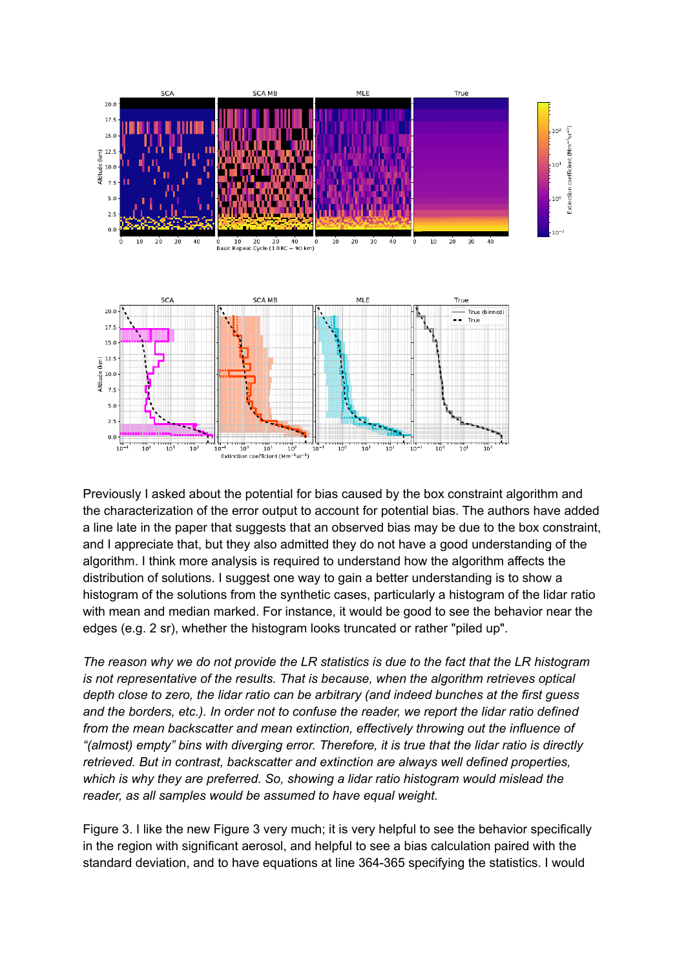

Previously I asked about the potential for bias caused by the box constraint algorithm and the characterization of the error output to account for potential bias. The authors have added a line late in the paper that suggests that an observed bias may be due to the box constraint, and I appreciate that, but they also admitted they do not have a good understanding of the algorithm. I think more analysis is required to understand how the algorithm affects the distribution of solutions. I suggest one way to gain a better understanding is to show a histogram of the solutions from the synthetic cases, particularly a histogram of the lidar ratio with mean and median marked. For instance, it would be good to see the behavior near the edges (e.g. 2 sr), whether the histogram looks truncated or rather "piled up".

*The reason why we do not provide the LR statistics is due to the fact that the LR histogram is not representative of the results. That is because, when the algorithm retrieves optical depth close to zero, the lidar ratio can be arbitrary (and indeed bunches at the first guess and the borders, etc.). In order not to confuse the reader, we report the lidar ratio defined from the mean backscatter and mean extinction, effectively throwing out the influence of "(almost) empty" bins with diverging error. Therefore, it is true that the lidar ratio is directly retrieved. But in contrast, backscatter and extinction are always well defined properties, which is why they are preferred. So, showing a lidar ratio histogram would mislead the reader, as all samples would be assumed to have equal weight.*

Figure 3. I like the new Figure 3 very much; it is very helpful to see the behavior specifically in the region with significant aerosol, and helpful to see a bias calculation paired with the standard deviation, and to have equations at line 364-365 specifying the statistics. I would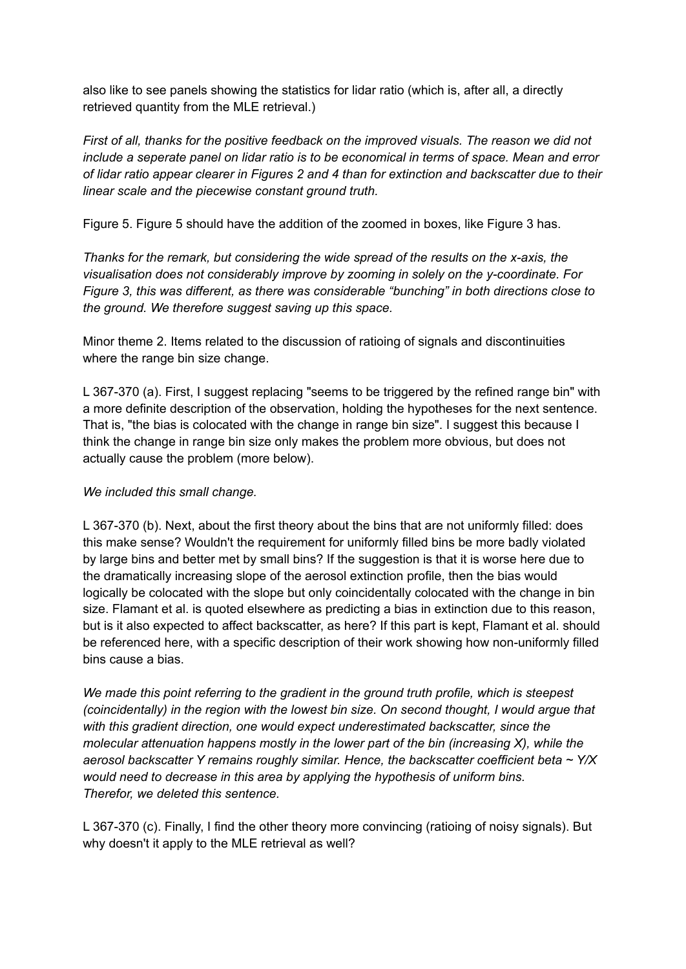also like to see panels showing the statistics for lidar ratio (which is, after all, a directly retrieved quantity from the MLE retrieval.)

*First of all, thanks for the positive feedback on the improved visuals. The reason we did not include a seperate panel on lidar ratio is to be economical in terms of space. Mean and error of lidar ratio appear clearer in Figures 2 and 4 than for extinction and backscatter due to their linear scale and the piecewise constant ground truth.*

Figure 5. Figure 5 should have the addition of the zoomed in boxes, like Figure 3 has.

*Thanks for the remark, but considering the wide spread of the results on the x-axis, the visualisation does not considerably improve by zooming in solely on the y-coordinate. For Figure 3, this was different, as there was considerable "bunching" in both directions close to the ground. We therefore suggest saving up this space.*

Minor theme 2. Items related to the discussion of ratioing of signals and discontinuities where the range bin size change.

L 367-370 (a). First, I suggest replacing "seems to be triggered by the refined range bin" with a more definite description of the observation, holding the hypotheses for the next sentence. That is, "the bias is colocated with the change in range bin size". I suggest this because I think the change in range bin size only makes the problem more obvious, but does not actually cause the problem (more below).

## *We included this small change.*

L 367-370 (b). Next, about the first theory about the bins that are not uniformly filled: does this make sense? Wouldn't the requirement for uniformly filled bins be more badly violated by large bins and better met by small bins? If the suggestion is that it is worse here due to the dramatically increasing slope of the aerosol extinction profile, then the bias would logically be colocated with the slope but only coincidentally colocated with the change in bin size. Flamant et al. is quoted elsewhere as predicting a bias in extinction due to this reason, but is it also expected to affect backscatter, as here? If this part is kept, Flamant et al. should be referenced here, with a specific description of their work showing how non-uniformly filled bins cause a bias.

*We made this point referring to the gradient in the ground truth profile, which is steepest (coincidentally) in the region with the lowest bin size. On second thought, I would argue that with this gradient direction, one would expect underestimated backscatter, since the molecular attenuation happens mostly in the lower part of the bin (increasing X), while the aerosol backscatter Y remains roughly similar. Hence, the backscatter coefficient beta ~ Y/X would need to decrease in this area by applying the hypothesis of uniform bins. Therefor, we deleted this sentence.*

L 367-370 (c). Finally, I find the other theory more convincing (ratioing of noisy signals). But why doesn't it apply to the MLE retrieval as well?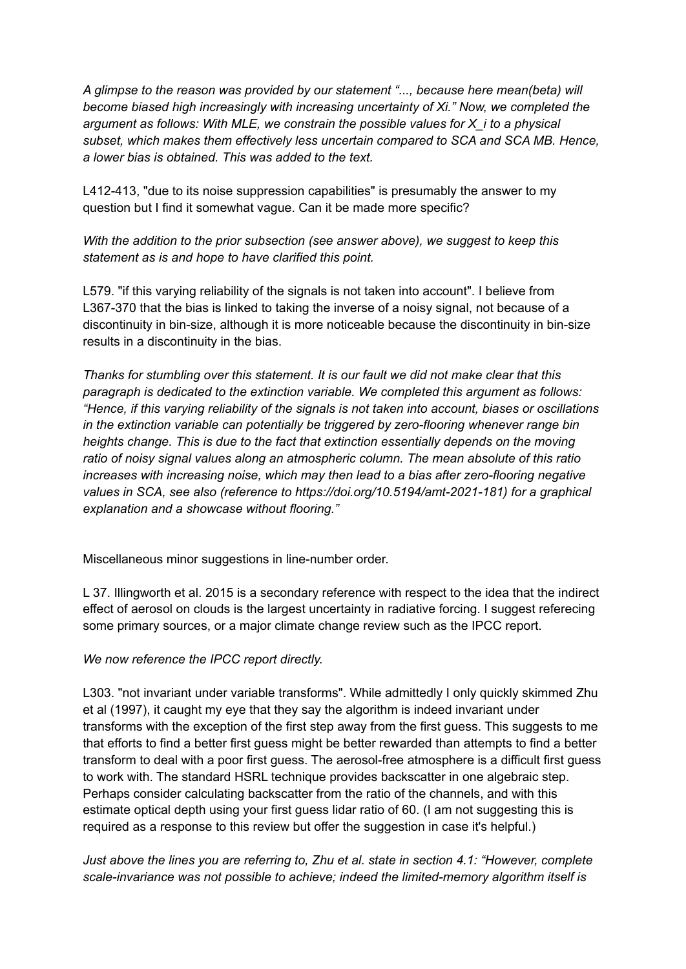*A glimpse to the reason was provided by our statement "..., because here mean(beta) will become biased high increasingly with increasing uncertainty of Xi." Now, we completed the argument as follows: With MLE, we constrain the possible values for X\_i to a physical subset, which makes them effectively less uncertain compared to SCA and SCA MB. Hence, a lower bias is obtained. This was added to the text.*

L412-413, "due to its noise suppression capabilities" is presumably the answer to my question but I find it somewhat vague. Can it be made more specific?

*With the addition to the prior subsection (see answer above), we suggest to keep this statement as is and hope to have clarified this point.*

L579. "if this varying reliability of the signals is not taken into account". I believe from L367-370 that the bias is linked to taking the inverse of a noisy signal, not because of a discontinuity in bin-size, although it is more noticeable because the discontinuity in bin-size results in a discontinuity in the bias.

*Thanks for stumbling over this statement. It is our fault we did not make clear that this paragraph is dedicated to the extinction variable. We completed this argument as follows: "Hence, if this varying reliability of the signals is not taken into account, biases or oscillations in the extinction variable can potentially be triggered by zero-flooring whenever range bin heights change. This is due to the fact that extinction essentially depends on the moving ratio of noisy signal values along an atmospheric column. The mean absolute of this ratio increases with increasing noise, which may then lead to a bias after zero-flooring negative values in SCA, see also (reference to https://doi.org/10.5194/amt-2021-181) for a graphical explanation and a showcase without flooring."*

Miscellaneous minor suggestions in line-number order.

L 37. Illingworth et al. 2015 is a secondary reference with respect to the idea that the indirect effect of aerosol on clouds is the largest uncertainty in radiative forcing. I suggest referecing some primary sources, or a major climate change review such as the IPCC report.

# *We now reference the IPCC report directly.*

L303. "not invariant under variable transforms". While admittedly I only quickly skimmed Zhu et al (1997), it caught my eye that they say the algorithm is indeed invariant under transforms with the exception of the first step away from the first guess. This suggests to me that efforts to find a better first guess might be better rewarded than attempts to find a better transform to deal with a poor first guess. The aerosol-free atmosphere is a difficult first guess to work with. The standard HSRL technique provides backscatter in one algebraic step. Perhaps consider calculating backscatter from the ratio of the channels, and with this estimate optical depth using your first guess lidar ratio of 60. (I am not suggesting this is required as a response to this review but offer the suggestion in case it's helpful.)

*Just above the lines you are referring to, Zhu et al. state in section 4.1: "However, complete scale-invariance was not possible to achieve; indeed the limited-memory algorithm itself is*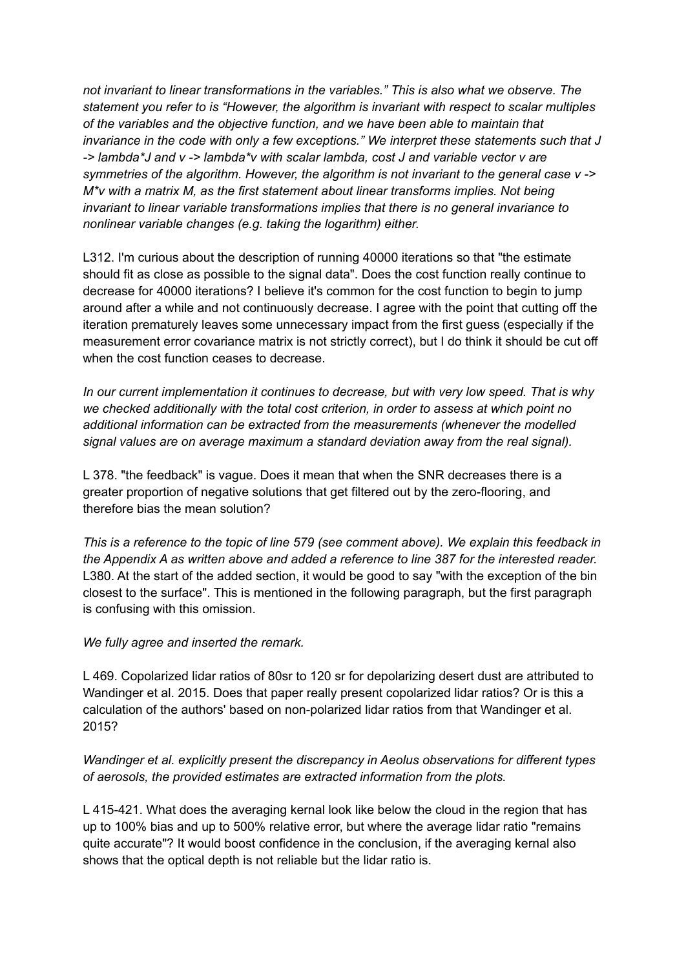*not invariant to linear transformations in the variables." This is also what we observe. The statement you refer to is "However, the algorithm is invariant with respect to scalar multiples of the variables and the objective function, and we have been able to maintain that invariance in the code with only a few exceptions." We interpret these statements such that J -> lambda\*J and v -> lambda\*v with scalar lambda, cost J and variable vector v are symmetries of the algorithm. However, the algorithm is not invariant to the general case v -> M\*v with a matrix M, as the first statement about linear transforms implies. Not being invariant to linear variable transformations implies that there is no general invariance to nonlinear variable changes (e.g. taking the logarithm) either.*

L312. I'm curious about the description of running 40000 iterations so that "the estimate should fit as close as possible to the signal data". Does the cost function really continue to decrease for 40000 iterations? I believe it's common for the cost function to begin to jump around after a while and not continuously decrease. I agree with the point that cutting off the iteration prematurely leaves some unnecessary impact from the first guess (especially if the measurement error covariance matrix is not strictly correct), but I do think it should be cut off when the cost function ceases to decrease.

*In our current implementation it continues to decrease, but with very low speed. That is why we checked additionally with the total cost criterion, in order to assess at which point no additional information can be extracted from the measurements (whenever the modelled signal values are on average maximum a standard deviation away from the real signal).*

L 378. "the feedback" is vague. Does it mean that when the SNR decreases there is a greater proportion of negative solutions that get filtered out by the zero-flooring, and therefore bias the mean solution?

*This is a reference to the topic of line 579 (see comment above). We explain this feedback in the Appendix A as written above and added a reference to line 387 for the interested reader.* L380. At the start of the added section, it would be good to say "with the exception of the bin closest to the surface". This is mentioned in the following paragraph, but the first paragraph is confusing with this omission.

#### *We fully agree and inserted the remark.*

L 469. Copolarized lidar ratios of 80sr to 120 sr for depolarizing desert dust are attributed to Wandinger et al. 2015. Does that paper really present copolarized lidar ratios? Or is this a calculation of the authors' based on non-polarized lidar ratios from that Wandinger et al. 2015?

## *Wandinger et al. explicitly present the discrepancy in Aeolus observations for different types of aerosols, the provided estimates are extracted information from the plots.*

L 415-421. What does the averaging kernal look like below the cloud in the region that has up to 100% bias and up to 500% relative error, but where the average lidar ratio "remains quite accurate"? It would boost confidence in the conclusion, if the averaging kernal also shows that the optical depth is not reliable but the lidar ratio is.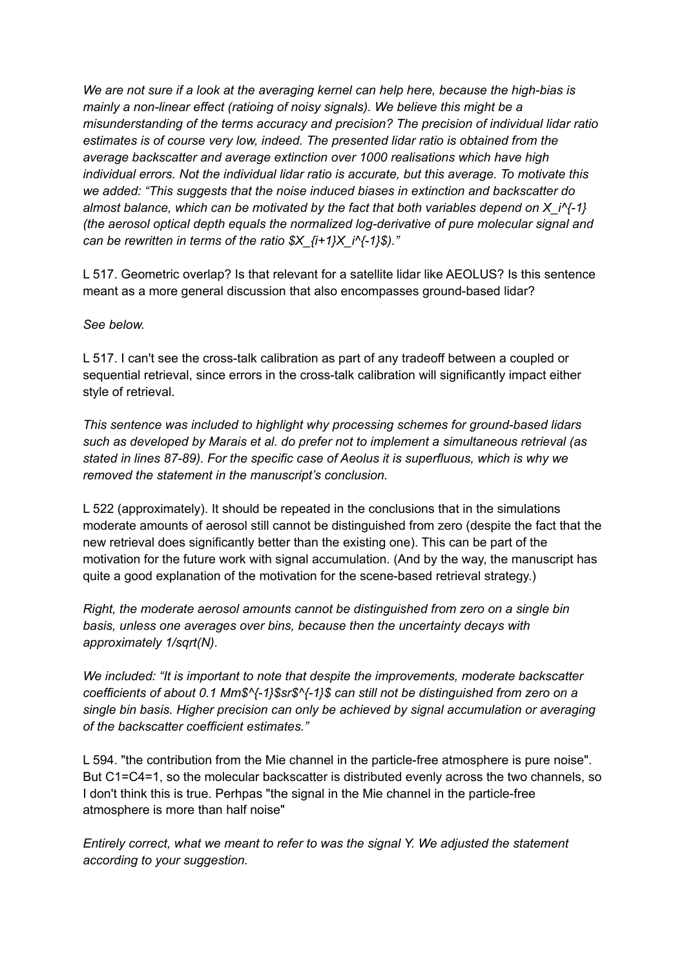*We are not sure if a look at the averaging kernel can help here, because the high-bias is mainly a non-linear effect (ratioing of noisy signals). We believe this might be a misunderstanding of the terms accuracy and precision? The precision of individual lidar ratio estimates is of course very low, indeed. The presented lidar ratio is obtained from the average backscatter and average extinction over 1000 realisations which have high individual errors. Not the individual lidar ratio is accurate, but this average. To motivate this we added: "This suggests that the noise induced biases in extinction and backscatter do almost balance, which can be motivated by the fact that both variables depend on X\_i^{-1} (the aerosol optical depth equals the normalized log-derivative of pure molecular signal and can be rewritten in terms of the ratio \$X\_{i+1}X\_i^{-1}\$)."*

L 517. Geometric overlap? Is that relevant for a satellite lidar like AEOLUS? Is this sentence meant as a more general discussion that also encompasses ground-based lidar?

## *See below.*

L 517. I can't see the cross-talk calibration as part of any tradeoff between a coupled or sequential retrieval, since errors in the cross-talk calibration will significantly impact either style of retrieval.

*This sentence was included to highlight why processing schemes for ground-based lidars such as developed by Marais et al. do prefer not to implement a simultaneous retrieval (as stated in lines 87-89). For the specific case of Aeolus it is superfluous, which is why we removed the statement in the manuscript's conclusion.*

L 522 (approximately). It should be repeated in the conclusions that in the simulations moderate amounts of aerosol still cannot be distinguished from zero (despite the fact that the new retrieval does significantly better than the existing one). This can be part of the motivation for the future work with signal accumulation. (And by the way, the manuscript has quite a good explanation of the motivation for the scene-based retrieval strategy.)

*Right, the moderate aerosol amounts cannot be distinguished from zero on a single bin basis, unless one averages over bins, because then the uncertainty decays with approximately 1/sqrt(N).*

*We included: "It is important to note that despite the improvements, moderate backscatter coefficients of about 0.1 Mm\$^{-1}\$sr\$^{-1}\$ can still not be distinguished from zero on a single bin basis. Higher precision can only be achieved by signal accumulation or averaging of the backscatter coefficient estimates."*

L 594. "the contribution from the Mie channel in the particle-free atmosphere is pure noise". But C1=C4=1, so the molecular backscatter is distributed evenly across the two channels, so I don't think this is true. Perhpas "the signal in the Mie channel in the particle-free atmosphere is more than half noise"

*Entirely correct, what we meant to refer to was the signal Y. We adjusted the statement according to your suggestion.*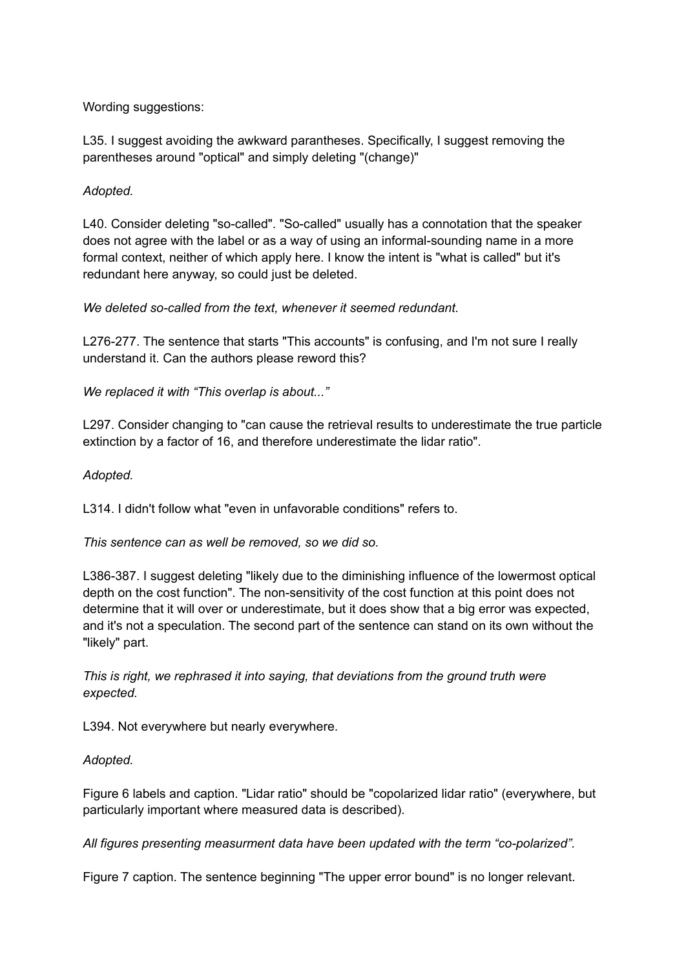Wording suggestions:

L35. I suggest avoiding the awkward parantheses. Specifically, I suggest removing the parentheses around "optical" and simply deleting "(change)"

## *Adopted.*

L40. Consider deleting "so-called". "So-called" usually has a connotation that the speaker does not agree with the label or as a way of using an informal-sounding name in a more formal context, neither of which apply here. I know the intent is "what is called" but it's redundant here anyway, so could just be deleted.

#### *We deleted so-called from the text, whenever it seemed redundant.*

L276-277. The sentence that starts "This accounts" is confusing, and I'm not sure I really understand it. Can the authors please reword this?

*We replaced it with "This overlap is about..."*

L297. Consider changing to "can cause the retrieval results to underestimate the true particle extinction by a factor of 16, and therefore underestimate the lidar ratio".

#### *Adopted.*

L314. I didn't follow what "even in unfavorable conditions" refers to.

#### *This sentence can as well be removed, so we did so.*

L386-387. I suggest deleting "likely due to the diminishing influence of the lowermost optical depth on the cost function". The non-sensitivity of the cost function at this point does not determine that it will over or underestimate, but it does show that a big error was expected, and it's not a speculation. The second part of the sentence can stand on its own without the "likely" part.

*This is right, we rephrased it into saying, that deviations from the ground truth were expected.*

L394. Not everywhere but nearly everywhere.

#### *Adopted.*

Figure 6 labels and caption. "Lidar ratio" should be "copolarized lidar ratio" (everywhere, but particularly important where measured data is described).

*All figures presenting measurment data have been updated with the term "co-polarized".*

Figure 7 caption. The sentence beginning "The upper error bound" is no longer relevant.